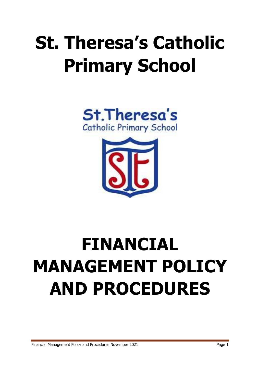# **St. Theresa's Catholic Primary School**





## **FINANCIAL MANAGEMENT POLICY AND PROCEDURES**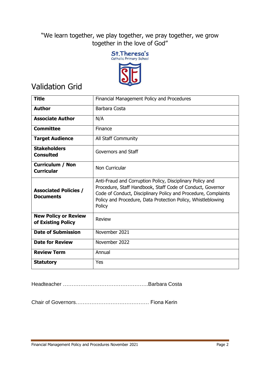"We learn together, we play together, we pray together, we grow together in the love of God"



## Validation Grid

| <b>Title</b>                                      | Financial Management Policy and Procedures                                                                                                                                                                                                                          |
|---------------------------------------------------|---------------------------------------------------------------------------------------------------------------------------------------------------------------------------------------------------------------------------------------------------------------------|
| <b>Author</b>                                     | Barbara Costa                                                                                                                                                                                                                                                       |
| <b>Associate Author</b>                           | N/A                                                                                                                                                                                                                                                                 |
| <b>Committee</b>                                  | Finance                                                                                                                                                                                                                                                             |
| <b>Target Audience</b>                            | All Staff Community                                                                                                                                                                                                                                                 |
| <b>Stakeholders</b><br><b>Consulted</b>           | Governors and Staff                                                                                                                                                                                                                                                 |
| <b>Curriculum / Non</b><br><b>Curricular</b>      | Non Curricular                                                                                                                                                                                                                                                      |
| <b>Associated Policies /</b><br><b>Documents</b>  | Anti-Fraud and Corruption Policy, Disciplinary Policy and<br>Procedure, Staff Handbook, Staff Code of Conduct, Governor<br>Code of Conduct, Disciplinary Policy and Procedure, Complaints<br>Policy and Procedure, Data Protection Policy, Whistleblowing<br>Policy |
| <b>New Policy or Review</b><br>of Existing Policy | <b>Review</b>                                                                                                                                                                                                                                                       |
| <b>Date of Submission</b>                         | November 2021                                                                                                                                                                                                                                                       |
| <b>Date for Review</b>                            | November 2022                                                                                                                                                                                                                                                       |
| <b>Review Term</b>                                | Annual                                                                                                                                                                                                                                                              |
| <b>Statutory</b>                                  | Yes                                                                                                                                                                                                                                                                 |

Headteacher ………………………………………….Barbara Costa

Chair of Governors…………………………………… Fiona Kerin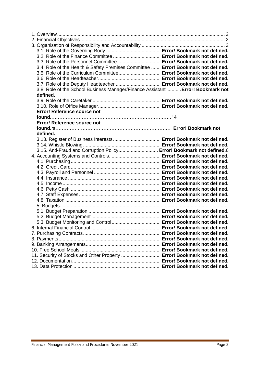| 3.3. Role of the Personnel Committee Error! Bookmark not defined.                 |  |
|-----------------------------------------------------------------------------------|--|
| 3.4. Role of the Health & Safety Premises Committee  Error! Bookmark not defined. |  |
| 3.5. Role of the Curriculum Committee Error! Bookmark not defined.                |  |
|                                                                                   |  |
| 3.7. Role of the Deputy Headteacher  Error! Bookmark not defined.                 |  |
| 3.8. Role of the School Business Manager/Finance Assistant Error! Bookmark not    |  |
| defined.                                                                          |  |
|                                                                                   |  |
|                                                                                   |  |
| <b>Error! Reference source not</b>                                                |  |
|                                                                                   |  |
| Error! Reference source not                                                       |  |
|                                                                                   |  |
| defined.                                                                          |  |
|                                                                                   |  |
|                                                                                   |  |
| 3.15. Anti-Fraud and Corruption Policy Error! Bookmark not defined.6              |  |
|                                                                                   |  |
|                                                                                   |  |
|                                                                                   |  |
|                                                                                   |  |
|                                                                                   |  |
|                                                                                   |  |
|                                                                                   |  |
|                                                                                   |  |
|                                                                                   |  |
|                                                                                   |  |
|                                                                                   |  |
|                                                                                   |  |
|                                                                                   |  |
|                                                                                   |  |
|                                                                                   |  |
|                                                                                   |  |
|                                                                                   |  |
|                                                                                   |  |
| 11. Security of Stocks and Other Property  Error! Bookmark not defined.           |  |
|                                                                                   |  |
|                                                                                   |  |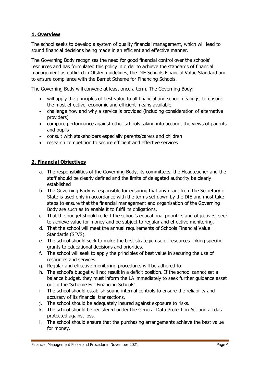## **1. Overview**

The school seeks to develop a system of quality financial management, which will lead to sound financial decisions being made in an efficient and effective manner.

The Governing Body recognises the need for good financial control over the schools' resources and has formulated this policy in order to achieve the standards of financial management as outlined in Ofsted guidelines, the DfE Schools Financial Value Standard and to ensure compliance with the Barnet Scheme for Financing Schools.

The Governing Body will convene at least once a term. The Governing Body:

- will apply the principles of best value to all financial and school dealings, to ensure the most effective, economic and efficient means available.
- challenge how and why a service is provided (including consideration of alternative providers)
- compare performance against other schools taking into account the views of parents and pupils
- consult with stakeholders especially parents/carers and children
- research competition to secure efficient and effective services

## **2. Financial Objectives**

- a. The responsibilities of the Governing Body, its committees, the Headteacher and the staff should be clearly defined and the limits of delegated authority be clearly established
- b. The Governing Body is responsible for ensuring that any grant from the Secretary of State is used only in accordance with the terms set down by the DfE and must take steps to ensure that the financial management and organisation of the Governing Body are such as to enable it to fulfil its obligations.
- c. That the budget should reflect the school's educational priorities and objectives, seek to achieve value for money and be subject to regular and effective monitoring.
- d. That the school will meet the annual requirements of Schools Financial Value Standards (SFVS).
- e. The school should seek to make the best strategic use of resources linking specific grants to educational decisions and priorities.
- f. The school will seek to apply the principles of best value in securing the use of resources and services.
- g. Regular and effective monitoring procedures will be adhered to.
- h. The school's budget will not result in a deficit position. If the school cannot set a balance budget, they must inform the LA immediately to seek further guidance asset out in the 'Scheme For Financing Schools'.
- i. The school should establish sound internal controls to ensure the reliability and accuracy of its financial transactions.
- j. The school should be adequately insured against exposure to risks.
- k. The school should be registered under the General Data Protection Act and all data protected against loss.
- l. The school should ensure that the purchasing arrangements achieve the best value for money.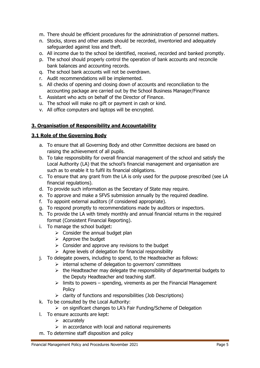- m. There should be efficient procedures for the administration of personnel matters.
- n. Stocks, stores and other assets should be recorded, inventoried and adequately safeguarded against loss and theft.
- o. All income due to the school be identified, received, recorded and banked promptly.
- p. The school should properly control the operation of bank accounts and reconcile bank balances and accounting records.
- q. The school bank accounts will not be overdrawn.
- r. Audit recommendations will be implemented.
- s. All checks of opening and closing down of accounts and reconciliation to the accounting package are carried out by the School Business Manager/Finance
- t. Assistant who acts on behalf of the Director of Finance.
- u. The school will make no gift or payment in cash or kind.
- v. All office computers and laptops will be encrypted.

## **3. Organisation of Responsibility and Accountability**

## **3.1 Role of the Governing Body**

- a. To ensure that all Governing Body and other Committee decisions are based on raising the achievement of all pupils.
- b. To take responsibility for overall financial management of the school and satisfy the Local Authority (LA) that the school's financial management and organisation are such as to enable it to fulfil its financial obligations.
- c. To ensure that any grant from the LA is only used for the purpose prescribed (see LA financial regulations).
- d. To provide such information as the Secretary of State may require.
- e. To approve and make a SFVS submission annually by the required deadline.
- f. To appoint external auditors (if considered appropriate).
- g. To respond promptly to recommendations made by auditors or inspectors.
- h. To provide the LA with timely monthly and annual financial returns in the required format (Consistent Financial Reporting).
- i. To manage the school budget:
	- $\triangleright$  Consider the annual budget plan
	- $\triangleright$  Approve the budget
	- $\triangleright$  Consider and approve any revisions to the budget
	- $\triangleright$  Agree levels of delegation for financial responsibility
- j. To delegate powers, including to spend, to the Headteacher as follows:
	- $\triangleright$  internal scheme of delegation to governors' committees
	- $\triangleright$  the Headteacher may delegate the responsibility of departmental budgets to the Deputy Headteacher and teaching staff.
	- $\triangleright$  limits to powers spending, virements as per the Financial Management Policy
	- $\triangleright$  clarity of functions and responsibilities (Job Descriptions)
- k. To be consulted by the Local Authority:
	- on significant changes to LA's Fair Funding/Scheme of Delegation
- l. To ensure accounts are kept:
	- $\triangleright$  accurately
	- $\triangleright$  in accordance with local and national requirements
- m. To determine staff disposition and policy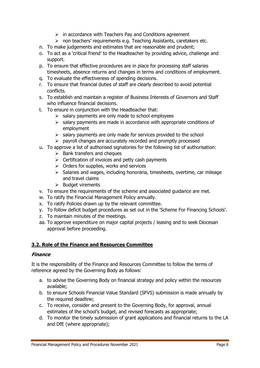- $\triangleright$  in accordance with Teachers Pay and Conditions agreement
- > non teachers' requirements e.g. Teaching Assistants, caretakers etc.
- n. To make judgements and estimates that are reasonable and prudent;
- o. To act as a 'critical friend' to the Headteacher by providing advice, challenge and support.
- p. To ensure that effective procedures are in place for processing staff salaries timesheets, absence returns and changes in terms and conditions of employment.
- q. To evaluate the effectiveness of spending decisions.
- r. To ensure that financial duties of staff are clearly described to avoid potential conflicts.
- s. To establish and maintain a register of Business Interests of Governors and Staff who influence financial decisions.
- t. To ensure in conjunction with the Headteacher that:
	- $\triangleright$  salary payments are only made to school employees
	- $\geq$  salary payments are made in accordance with appropriate conditions of employment
	- $\triangleright$  salary payments are only made for services provided to the school
	- $\triangleright$  payroll changes are accurately recorded and promptly processed
- u. To approve a list of authorised signatories for the following list of authorisation:
	- $\triangleright$  Bank transfers and cheques
	- $\triangleright$  Certification of invoices and petty cash payments
	- $\triangleright$  Orders for supplies, works and services
	- $\triangleright$  Salaries and wages, including honoraria, timesheets, overtime, car mileage and travel claims
	- $\triangleright$  Budget virements
- v. To ensure the requirements of the scheme and associated guidance are met.
- w. To ratify the Financial Management Policy annually.
- x. To ratify Policies drawn up by the relevant committee.
- y. To follow deficit budget procedures as set out in the 'Scheme For Financing Schools'.
- z. To maintain minutes of the meetings.
- aa. To approve expenditure on major capital projects / leasing and to seek Diocesan approval before proceeding.

## **3.2. Role of the Finance and Resources Committee**

## **Finance**

It is the responsibility of the Finance and Resources Committee to follow the terms of reference agreed by the Governing Body as follows:

- a. to advise the Governing Body on financial strategy and policy within the resources available;
- b. to ensure Schools Financial Value Standard (SFVS) submission is made annually by the required deadline;
- c. To receive, consider and present to the Governing Body, for approval, annual estimates of the school's budget, and revised forecasts as appropriate;
- d. To monitor the timely submission of grant applications and financial returns to the LA and DfE (where appropriate);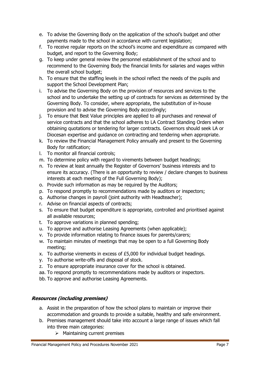- e. To advise the Governing Body on the application of the school's budget and other payments made to the school in accordance with current legislation;
- f. To receive regular reports on the school's income and expenditure as compared with budget, and report to the Governing Body;
- g. To keep under general review the personnel establishment of the school and to recommend to the Governing Body the financial limits for salaries and wages within the overall school budget;
- h. To ensure that the staffing levels in the school reflect the needs of the pupils and support the School Development Plan;
- i. To advise the Governing Body on the provision of resources and services to the school and to undertake the setting up of contracts for services as determined by the Governing Body. To consider, where appropriate, the substitution of in-house provision and to advise the Governing Body accordingly;
- j. To ensure that Best Value principles are applied to all purchases and renewal of service contracts and that the school adheres to LA Contract Standing Orders when obtaining quotations or tendering for larger contracts. Governors should seek LA or Diocesan expertise and guidance on contracting and tendering when appropriate.
- k. To review the Financial Management Policy annually and present to the Governing Body for ratification;
- l. To monitor all financial controls;
- m. To determine policy with regard to virements between budget headings;
- n. To review at least annually the Register of Governors' business interests and to ensure its accuracy. (There is an opportunity to review / declare changes to business interests at each meeting of the Full Governing Body);
- o. Provide such information as may be required by the Auditors;
- p. To respond promptly to recommendations made by auditors or inspectors;
- q. Authorise changes in payroll (joint authority with Headteacher);
- r. Advise on financial aspects of contracts;
- s. To ensure that budget expenditure is appropriate, controlled and prioritised against all available resources;
- t. To approve variations in planned spending;
- u. To approve and authorise Leasing Agreements (when applicable);
- v. To provide information relating to finance issues for parents/carers;
- w. To maintain minutes of meetings that may be open to a full Governing Body meeting;
- x. To authorise virements in excess of £5,000 for individual budget headings.
- y. To authorise write-offs and disposal of stock.
- z. To ensure appropriate insurance cover for the school is obtained.
- aa. To respond promptly to recommendations made by auditors or inspectors.
- bb. To approve and authorise Leasing Agreements.

## **Resources (including premises)**

- a. Assist in the preparation of how the school plans to maintain or improve their accommodation and grounds to provide a suitable, healthy and safe environment.
- b. Premises management should take into account a large range of issues which fall into three main categories:
	- $\triangleright$  Maintaining current premises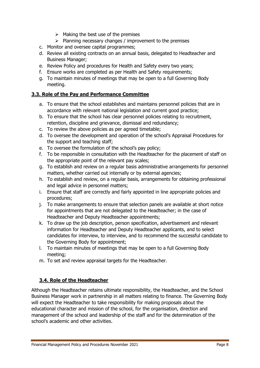- $\triangleright$  Making the best use of the premises
- $\triangleright$  Planning necessary changes / improvement to the premises
- c. Monitor and oversee capital programmes;
- d. Review all existing contracts on an annual basis, delegated to Headteacher and Business Manager;
- e. Review Policy and procedures for Health and Safety every two years;
- f. Ensure works are completed as per Health and Safety requirements;
- g. To maintain minutes of meetings that may be open to a full Governing Body meeting.

## **3.3. Role of the Pay and Performance Committee**

- a. To ensure that the school establishes and maintains personnel policies that are in accordance with relevant national legislation and current good practice;
- b. To ensure that the school has clear personnel policies relating to recruitment, retention, discipline and grievance, dismissal and redundancy;
- c. To review the above policies as per agreed timetable;
- d. To oversee the development and operation of the school's Appraisal Procedures for the support and teaching staff;
- e. To oversee the formulation of the school's pay policy;
- f. To be responsible in consultation with the Headteacher for the placement of staff on the appropriate point of the relevant pay scales;
- g. To establish and review on a regular basis administrative arrangements for personnel matters, whether carried out internally or by external agencies;
- h. To establish and review, on a regular basis, arrangements for obtaining professional and legal advice in personnel matters;
- i. Ensure that staff are correctly and fairly appointed in line appropriate policies and procedures;
- j. To make arrangements to ensure that selection panels are available at short notice for appointments that are not delegated to the Headteacher; in the case of Headteacher and Deputy Headteacher appointments;
- k. To draw up the job description, person specification, advertisement and relevant information for Headteacher and Deputy Headteacher applicants, and to select candidates for interview, to interview, and to recommend the successful candidate to the Governing Body for appointment;
- l. To maintain minutes of meetings that may be open to a full Governing Body meeting;
- m. To set and review appraisal targets for the Headteacher.

## **3.4. Role of the Headteacher**

Although the Headteacher retains ultimate responsibility, the Headteacher, and the School Business Manager work in partnership in all matters relating to finance. The Governing Body will expect the Headteacher to take responsibility for making proposals about the educational character and mission of the school, for the organisation, direction and management of the school and leadership of the staff and for the determination of the school's academic and other activities.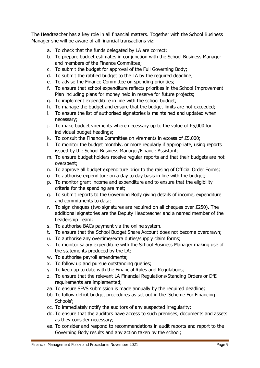The Headteacher has a key role in all financial matters. Together with the School Business Manager she will be aware of all financial transactions viz:

- a. To check that the funds delegated by LA are correct;
- b. To prepare budget estimates in conjunction with the School Business Manager and members of the Finance Committee;
- c. To submit the budget for approval of the Full Governing Body;
- d. To submit the ratified budget to the LA by the required deadline;
- e. To advise the Finance Committee on spending priorities;
- f. To ensure that school expenditure reflects priorities in the School Improvement Plan including plans for money held in reserve for future projects;
- g. To implement expenditure in line with the school budget;
- h. To manage the budget and ensure that the budget limits are not exceeded;
- i. To ensure the list of authorised signatories is maintained and updated when necessary;
- j. To make budget virements where necessary up to the value of £5,000 for individual budget headings;
- k. To consult the Finance Committee on virements in excess of £5,000;
- l. To monitor the budget monthly, or more regularly if appropriate, using reports issued by the School Business Manager/Finance Assistant;
- m. To ensure budget holders receive regular reports and that their budgets are not overspent;
- n. To approve all budget expenditure prior to the raising of Official Order Forms;
- o. To authorise expenditure on a day to day basis in line with the budget;
- p. To monitor grant income and expenditure and to ensure that the eligibility criteria for the spending are met;
- q. To submit reports to the Governing Body giving details of income, expenditure and commitments to data;
- r. To sign cheques (two signatures are required on all cheques over £250). The additional signatories are the Deputy Headteacher and a named member of the Leadership Team;
- s. To authorise BACs payment via the online system.
- t. To ensure that the School Budget Share Account does not become overdrawn;
- u. To authorise any overtime/extra duties/supply claim forms;
- v. To monitor salary expenditure with the School Business Manager making use of the statements produced by the LA;
- w. To authorise payroll amendments;
- x. To follow up and pursue outstanding queries;
- y. To keep up to date with the Financial Rules and Regulations;
- z. To ensure that the relevant LA Financial Regulations/Standing Orders or DfE requirements are implemented;
- aa. To ensure SFVS submission is made annually by the required deadline;
- bb. To follow deficit budget procedures as set out in the 'Scheme For Financing Schools';
- cc. To immediately notify the auditors of any suspected irregularity;
- dd. To ensure that the auditors have access to such premises, documents and assets as they consider necessary;
- ee. To consider and respond to recommendations in audit reports and report to the Governing Body results and any action taken by the school;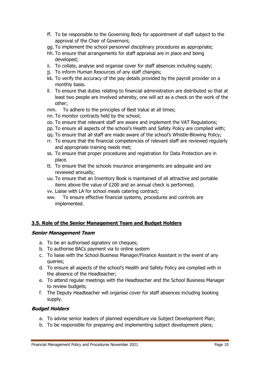- ff. To be responsible to the Governing Body for appointment of staff subject to the approval of the Chair of Governors;
- gg. To implement the school personnel disciplinary procedures as appropriate;
- hh. To ensure that arrangements for staff appraisal are in place and being developed;
- ii. To collate, analyse and organise cover for staff absences including supply;
- jj. To inform Human Resources of any staff changes;
- kk. To verify the accuracy of the pay details provided by the payroll provider on a monthly basis.
- ll. To ensure that duties relating to financial administration are distributed so that at least two people are involved whereby, one will act as a check on the work of the other;
- mm. To adhere to the principles of Best Value at all times;
- nn. To monitor contracts held by the school;
- oo. To ensure that relevant staff are aware and implement the VAT Regulations;
- pp. To ensure all aspects of the school's Health and Safety Policy are complied with;
- qq. To ensure that all staff are made aware of the school's Whistle-Blowing Policy;
- rr. To ensure that the financial competencies of relevant staff are reviewed regularly and appropriate training needs met;
- ss. To ensure that proper procedures and registration for Data Protection are in place.
- tt. To ensure that the schools insurance arrangements are adequate and are reviewed annually;
- uu. To ensure that an Inventory Book is maintained of all attractive and portable items above the value of £200 and an annual check is performed;
- vv. Liaise with LA for school meals catering contract;
- ww. To ensure effective financial systems, procedures and controls are implemented.

## **3.5. Role of the Senior Management Team and Budget Holders**

## **Senior Management Team**

- a. To be an authorised signatory on cheques;
- b. To authorise BACs payment via to online system
- c. To liaise with the School Business Manager/Finance Assistant in the event of any queries;
- d. To ensure all aspects of the school's Health and Safety Policy are complied with in the absence of the Headteacher;
- e. To attend regular meetings with the Headteacher and the School Business Manager to review budgets;
- f. The Deputy Headteacher will organise cover for staff absences including booking supply.

## **Budget Holders**

- a. To advise senior leaders of planned expenditure via Subject Development Plan;
- b. To be responsible for preparing and implementing subject development plans;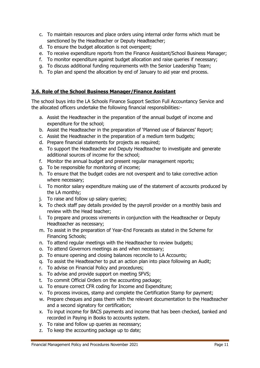- c. To maintain resources and place orders using internal order forms which must be sanctioned by the Headteacher or Deputy Headteacher;
- d. To ensure the budget allocation is not overspent;
- e. To receive expenditure reports from the Finance Assistant/School Business Manager;
- f. To monitor expenditure against budget allocation and raise queries if necessary;
- g. To discuss additional funding requirements with the Senior Leadership Team;
- h. To plan and spend the allocation by end of January to aid year end process.

## **3.6. Role of the School Business Manager/Finance Assistant**

The school buys into the LA Schools Finance Support Section Full Accountancy Service and the allocated officers undertake the following financial responsibilities:-

- a. Assist the Headteacher in the preparation of the annual budget of income and expenditure for the school;
- b. Assist the Headteacher in the preparation of 'Planned use of Balances' Report;
- c. Assist the Headteacher in the preparation of a medium term budgets;
- d. Prepare financial statements for projects as required;
- e. To support the Headteacher and Deputy Headteacher to investigate and generate additional sources of income for the school;
- f. Monitor the annual budget and present regular management reports;
- g. To be responsible for monitoring of income;
- h. To ensure that the budget codes are not overspent and to take corrective action where necessary;
- i. To monitor salary expenditure making use of the statement of accounts produced by the LA monthly;
- j. To raise and follow up salary queries;
- k. To check staff pay details provided by the payroll provider on a monthly basis and review with the Head teacher;
- l. To prepare and process virements in conjunction with the Headteacher or Deputy Headteacher as necessary;
- m. To assist in the preparation of Year-End Forecasts as stated in the Scheme for Financing Schools;
- n. To attend regular meetings with the Headteacher to review budgets;
- o. To attend Governors meetings as and when necessary;
- p. To ensure opening and closing balances reconcile to LA Accounts;
- q. To assist the Headteacher to put an action plan into place following an Audit;
- r. To advise on Financial Policy and procedures;
- s. To advise and provide support on meeting SFVS;
- t. To commit Official Orders on the accounting package;
- u. To ensure correct CFR coding for Income and Expenditure;
- v. To process invoices, stamp and complete the Certification Stamp for payment;
- w. Prepare cheques and pass them with the relevant documentation to the Headteacher and a second signatory for certification;
- x. To input income for BACS payments and income that has been checked, banked and recorded in Paying in Books to accounts system.
- y. To raise and follow up queries as necessary;
- z. To keep the accounting package up to date;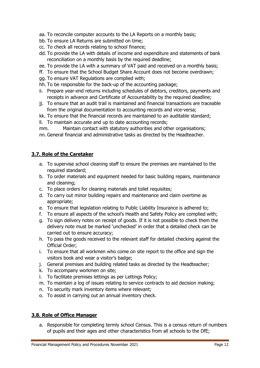- aa. To reconcile computer accounts to the LA Reports on a monthly basis;
- bb. To ensure LA Returns are submitted on time;
- cc. To check all records relating to school finance;
- dd. To provide the LA with details of income and expenditure and statements of bank reconciliation on a monthly basis by the required deadline;
- ee. To provide the LA with a summary of VAT paid and received on a monthly basis;
- ff. To ensure that the School Budget Share Account does not become overdrawn;
- gg. To ensure VAT Regulations are complied with;
- hh. To be responsible for the back-up of the accounting package;
- ii. Prepare year-end returns including schedules of debtors, creditors, payments and receipts in advance and Certificate of Accountability by the required deadline;
- jj. To ensure that an audit trail is maintained and financial transactions are traceable from the original documentation to accounting records and vice-versa;
- kk. To ensure that the financial records are maintained to an auditable standard;
- ll. To maintain accurate and up to date accounting records;
- mm. Maintain contact with statutory authorities and other organisations;
- nn. General financial and administrative tasks as directed by the Headteacher.

## **3.7. Role of the Caretaker**

- a. To supervise school cleaning staff to ensure the premises are maintained to the required standard;
- b. To order materials and equipment needed for basic building repairs, maintenance and cleaning;
- c. To place orders for cleaning materials and toilet requisites;
- d. To carry out minor building repairs and maintenance and claim overtime as appropriate;
- e. To ensure that legislation relating to Public Liability Insurance is adhered to;
- f. To ensure all aspects of the school's Health and Safety Policy are complied with;
- g. To sign delivery notes on receipt of goods. If it is not possible to check them the delivery note must be marked 'unchecked' in order that a detailed check can be carried out to ensure accuracy;
- h. To pass the goods received to the relevant staff for detailed checking against the Official Order;
- i. To ensure that all workmen who come on site report to the office and sign the visitors book and wear a visitor's badge;
- j. General premises and building related tasks as directed by the Headteacher;
- k. To accompany workmen on site;
- l. To facilitate premises lettings as per Lettings Policy;
- m. To maintain a log of issues relating to service contracts to aid decision making;
- n. To security mark inventory items where relevant;
- o. To assist in carrying out an annual inventory check.

## **3.8. Role of Office Manager**

a. Responsible for completing termly school Census. This is a census return of numbers of pupils and their ages and other characteristics from all schools to the DfE;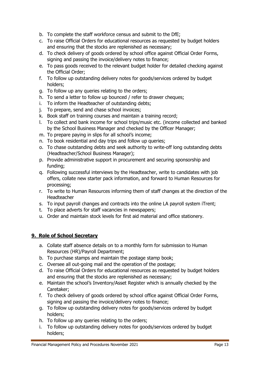- b. To complete the staff workforce census and submit to the DfE;
- c. To raise Official Orders for educational resources as requested by budget holders and ensuring that the stocks are replenished as necessary;
- d. To check delivery of goods ordered by school office against Official Order Forms, signing and passing the invoice/delivery notes to finance;
- e. To pass goods received to the relevant budget holder for detailed checking against the Official Order;
- f. To follow up outstanding delivery notes for goods/services ordered by budget holders;
- g. To follow up any queries relating to the orders;
- h. To send a letter to follow up bounced / refer to drawer cheques;
- i. To inform the Headteacher of outstanding debts;
- j. To prepare, send and chase school invoices;
- k. Book staff on training courses and maintain a training record;
- l. To collect and bank income for school trips/music etc. (income collected and banked by the School Business Manager and checked by the Officer Manager;
- m. To prepare paying in slips for all school's income;
- n. To book residential and day trips and follow up queries;
- o. To chase outstanding debts and seek authority to write-off long outstanding debts (Headteacher/School Business Manager);
- p. Provide administrative support in procurement and securing sponsorship and funding;
- q. Following successful interviews by the Headteacher, write to candidates with job offers, collate new starter pack information, and forward to Human Resources for processing;
- r. To write to Human Resources informing them of staff changes at the direction of the Headteacher
- s. To input payroll changes and contracts into the online LA payroll system iTrent;
- t. To place adverts for staff vacancies in newspapers;
- u. Order and maintain stock levels for first aid material and office stationery.

## **9. Role of School Secretary**

- a. Collate staff absence details on to a monthly form for submission to Human Resources (HR)/Payroll Department;
- b. To purchase stamps and maintain the postage stamp book;
- c. Oversee all out-going mail and the operation of the postage;
- d. To raise Official Orders for educational resources as requested by budget holders and ensuring that the stocks are replenished as necessary;
- e. Maintain the school's Inventory/Asset Register which is annually checked by the Caretaker;
- f. To check delivery of goods ordered by school office against Official Order Forms, signing and passing the invoice/delivery notes to finance;
- g. To follow up outstanding delivery notes for goods/services ordered by budget holders;
- h. To follow up any queries relating to the orders;
- i. To follow up outstanding delivery notes for goods/services ordered by budget holders;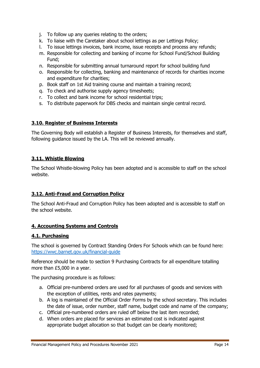- j. To follow up any queries relating to the orders;
- k. To liaise with the Caretaker about school lettings as per Lettings Policy;
- l. To issue lettings invoices, bank income, issue receipts and process any refunds;
- m. Responsible for collecting and banking of income for School Fund/School Building Fund;
- n. Responsible for submitting annual turnaround report for school building fund
- o. Responsible for collecting, banking and maintenance of records for charities income and expenditure for charities;
- p. Book staff on 1st Aid training course and maintain a training record;
- q. To check and authorise supply agency timesheets;
- r. To collect and bank income for school residential trips;
- s. To distribute paperwork for DBS checks and maintain single central record.

## **3.10. Register of Business Interests**

The Governing Body will establish a Register of Business Interests, for themselves and staff, following guidance issued by the LA. This will be reviewed annually.

## **3.11. Whistle Blowing**

The School Whistle-blowing Policy has been adopted and is accessible to staff on the school website.

## **3.12. Anti-Fraud and Corruption Policy**

The School Anti-Fraud and Corruption Policy has been adopted and is accessible to staff on the school website.

## **4. Accounting Systems and Controls**

## **4.1. Purchasing**

The school is governed by Contract Standing Orders For Schools which can be found here: <https://wwc.barnet.gov.uk/financial-guide>

Reference should be made to section 9 Purchasing Contracts for all expenditure totalling more than £5,000 in a year.

The purchasing procedure is as follows:

- a. Official pre-numbered orders are used for all purchases of goods and services with the exception of utilities, rents and rates payments;
- b. A log is maintained of the Official Order Forms by the school secretary. This includes the date of issue, order number, staff name, budget code and name of the company;
- c. Official pre-numbered orders are ruled off below the last item recorded;
- d. When orders are placed for services an estimated cost is indicated against appropriate budget allocation so that budget can be clearly monitored;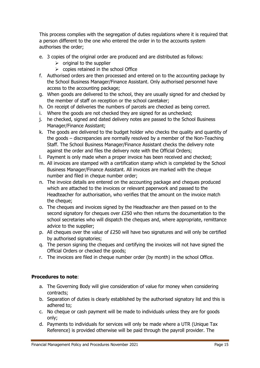This process complies with the segregation of duties regulations where it is required that a person different to the one who entered the order in to the accounts system authorises the order;

- e. 3 copies of the original order are produced and are distributed as follows:
	- $\triangleright$  original to the supplier
	- $\triangleright$  copies retained in the school Office
- f. Authorised orders are then processed and entered on to the accounting package by the School Business Manager/Finance Assistant. Only authorised personnel have access to the accounting package;
- g. When goods are delivered to the school, they are usually signed for and checked by the member of staff on reception or the school caretaker;
- h. On receipt of deliveries the numbers of parcels are checked as being correct.
- i. Where the goods are not checked they are signed for as unchecked;
- j. he checked, signed and dated delivery notes are passed to the School Business Manager/Finance Assistant;
- k. The goods are delivered to the budget holder who checks the quality and quantity of the goods – discrepancies are normally resolved by a member of the Non-Teaching Staff. The School Business Manager/Finance Assistant checks the delivery note against the order and files the delivery note with the Official Orders;
- l. Payment is only made when a proper invoice has been received and checked;
- m. All invoices are stamped with a certification stamp which is completed by the School Business Manager/Finance Assistant. All invoices are marked with the cheque number and filed in cheque number order;
- n. The invoice details are entered on the accounting package and cheques produced which are attached to the invoices or relevant paperwork and passed to the Headteacher for authorisation, who verifies that the amount on the invoice match the cheque;
- o. The cheques and invoices signed by the Headteacher are then passed on to the second signatory for cheques over £250 who then returns the documentation to the school secretaries who will dispatch the cheques and, where appropriate, remittance advice to the supplier;
- p. All cheques over the value of £250 will have two signatures and will only be certified by authorised signatories;
- q. The person signing the cheques and certifying the invoices will not have signed the Official Orders or checked the goods;
- r. The invoices are filed in cheque number order (by month) in the school Office.

## **Procedures to note**:

- a. The Governing Body will give consideration of value for money when considering contracts;
- b. Separation of duties is clearly established by the authorised signatory list and this is adhered to;
- c. No cheque or cash payment will be made to individuals unless they are for goods only;
- d. Payments to individuals for services will only be made where a UTR (Unique Tax Reference) is provided otherwise will be paid through the payroll provider. The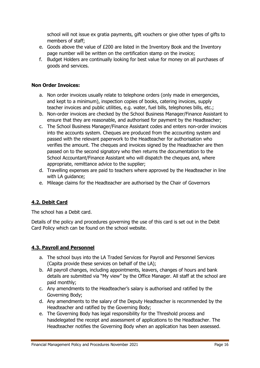school will not issue ex gratia payments, gift vouchers or give other types of gifts to members of staff;

- e. Goods above the value of £200 are listed in the Inventory Book and the Inventory page number will be written on the certification stamp on the invoice;
- f. Budget Holders are continually looking for best value for money on all purchases of goods and services.

## **Non Order Invoices:**

- a. Non order invoices usually relate to telephone orders (only made in emergencies, and kept to a minimum), inspection copies of books, catering invoices, supply teacher invoices and public utilities, e.g. water, fuel bills, telephones bills, etc.;
- b. Non-order invoices are checked by the School Business Manager/Finance Assistant to ensure that they are reasonable, and authorised for payment by the Headteacher;
- c. The School Business Manager/Finance Assistant codes and enters non-order invoices into the accounts system. Cheques are produced from the accounting system and passed with the relevant paperwork to the Headteacher for authorisation who verifies the amount. The cheques and invoices signed by the Headteacher are then passed on to the second signatory who then returns the documentation to the School Accountant/Finance Assistant who will dispatch the cheques and, where appropriate, remittance advice to the supplier;
- d. Travelling expenses are paid to teachers where approved by the Headteacher in line with LA guidance;
- e. Mileage claims for the Headteacher are authorised by the Chair of Governors

## **4.2. Debit Card**

The school has a Debit card.

Details of the policy and procedures governing the use of this card is set out in the Debit Card Policy which can be found on the school website.

## **4.3. Payroll and Personnel**

- a. The school buys into the LA Traded Services for Payroll and Personnel Services (Capita provide these services on behalf of the LA);
- b. All payroll changes, including appointments, leavers, changes of hours and bank details are submitted via "My view" by the Office Manager. All staff at the school are paid monthly;
- c. Any amendments to the Headteacher's salary is authorised and ratified by the Governing Body;
- d. Any amendments to the salary of the Deputy Headteacher is recommended by the Headteacher and ratified by the Governing Body;
- e. The Governing Body has legal responsibility for the Threshold process and hasdelegated the receipt and assessment of applications to the Headteacher. The Headteacher notifies the Governing Body when an application has been assessed.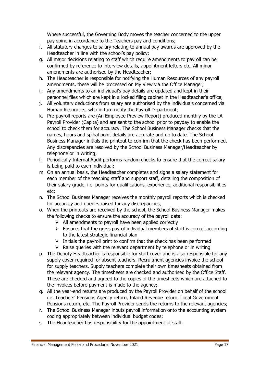Where successful, the Governing Body moves the teacher concerned to the upper pay spine in accordance to the Teachers pay and conditions;

- f. All statutory changes to salary relating to annual pay awards are approved by the Headteacher in line with the school's pay policy;
- g. All major decisions relating to staff which require amendments to payroll can be confirmed by reference to interview details, appointment letters etc. All minor amendments are authorised by the Headteacher;
- h. The Headteacher is responsible for notifying the Human Resources of any payroll amendments, these will be processed on My View via the Office Manager;
- i. Any amendments to an individual's pay details are updated and kept in their personnel files which are kept in a locked filing cabinet in the Headteacher's office;
- j. All voluntary deductions from salary are authorised by the individuals concerned via Human Resources, who in turn notify the Payroll Department;
- k. Pre-payroll reports are (An Employee Preview Report) produced monthly by the LA Payroll Provider (Capita) and are sent to the school prior to payday to enable the school to check them for accuracy. The School Business Manager checks that the names, hours and spinal point details are accurate and up to date. The School Business Manager initials the printout to confirm that the check has been performed. Any discrepancies are resolved by the School Business Manager/Headteacher by telephone or in writing;
- l. Periodically Internal Audit performs random checks to ensure that the correct salary is being paid to each individual;
- m. On an annual basis, the Headteacher completes and signs a salary statement for each member of the teaching staff and support staff, detailing the composition of their salary grade, i.e. points for qualifications, experience, additional responsibilities etc;
- n. The School Business Manager receives the monthly payroll reports which is checked for accuracy and queries raised for any discrepancies;
- o. When the printouts are received by the school, the School Business Manager makes the following checks to ensure the accuracy of the payroll data:
	- $\triangleright$  All amendments to payroll have been applied correctly
	- $\triangleright$  Ensures that the gross pay of individual members of staff is correct according to the latest strategic financial plan
	- $\triangleright$  Initials the payroll print to confirm that the check has been performed
	- $\triangleright$  Raise queries with the relevant department by telephone or in writing
- p. The Deputy Headteacher is responsible for staff cover and is also responsible for any supply cover required for absent teachers. Recruitment agencies invoice the school for supply teachers. Supply teachers complete their own timesheets obtained from the relevant agency. The timesheets are checked and authorised by the Office Staff. These are checked and agreed to the copies of the timesheets which are attached to the invoices before payment is made to the agency;
- q. All the year-end returns are produced by the Payroll Provider on behalf of the school i.e. Teachers' Pensions Agency return, Inland Revenue return, Local Government Pensions return, etc. The Payroll Provider sends the returns to the relevant agencies;
- r. The School Business Manager inputs payroll information onto the accounting system coding appropriately between individual budget codes;
- s. The Headteacher has responsibility for the appointment of staff.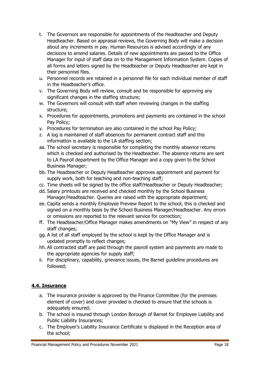- t. The Governors are responsible for appointments of the Headteacher and Deputy Headteacher. Based on appraisal reviews, the Governing Body will make a decision about any increments in pay. Human Resources is advised accordingly of any decisions to amend salaries. Details of new appointments are passed to the Office Manager for input of staff data on to the Management Information System. Copies of all forms and letters signed by the Headteacher or Deputy Headteacher are kept in their personnel files.
- u. Personnel records are retained in a personnel file for each individual member of staff in the Headteacher's office.
- v. The Governing Body will review, consult and be responsible for approving any significant changes in the staffing structure;
- w. The Governors will consult with staff when reviewing changes in the staffing structure;
- x. Procedures for appointments, promotions and payments are contained in the school Pay Policy;
- y. Procedures for termination are also contained in the school Pay Policy;
- z. A log is maintained of staff absences for permanent contract staff and this information is available to the LA staffing section;
- aa. The school secretary is responsible for completing the monthly absence returns which is checked and authorised by the Headteacher. The absence returns are sent to LA Payroll department by the Office Manager and a copy given to the School Business Manager;
- bb. The Headteacher or Deputy Headteacher approves appointment and payment for supply work, both for teaching and non-teaching staff;
- cc. Time sheets will be signed by the office staff/Headteacher or Deputy Headteacher;
- dd. Salary printouts are received and checked monthly by the School Business Manager/Headteacher. Queries are raised with the appropriate department;
- ee. Capita sends a monthly Employee Preview Report to the school; this is checked and signed on a monthly basis by the School Business Manager/Headteacher. Any errors or omissions are reported to the relevant service for correction;
- ff. The Headteacher/Office Manager makes amendments on "My View" in respect of any staff changes;
- gg. A list of all staff employed by the school is kept by the Office Manager and is updated promptly to reflect changes;
- hh. All contracted staff are paid through the payroll system and payments are made to the appropriate agencies for supply staff;
- ii. For disciplinary, capability, grievance issues, the Barnet guideline procedures are followed;

## **4.4. Insurance**

- a. The insurance provider is approved by the Finance Committee (for the premises element of cover) and cover provided is checked to ensure that the schools is adequately ensured;
- b. The school is insured through London Borough of Barnet for Employee Liability and Public Liability Insurances;
- c. The Employer's Liability Insurance Certificate is displayed in the Reception area of the school;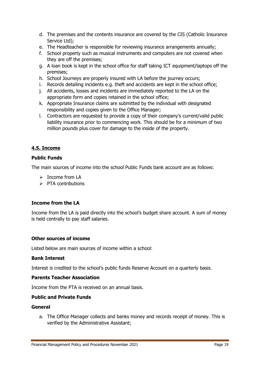- d. The premises and the contents insurance are covered by the CIS (Catholic Insurance Service Ltd);
- e. The Headteacher is responsible for reviewing insurance arrangements annually;
- f. School property such as musical instruments and computers are not covered when they are off the premises;
- g. A loan book is kept in the school office for staff taking ICT equipment/laptops off the premises;
- h. School Journeys are properly insured with LA before the journey occurs;
- i. Records detailing incidents e.g. theft and accidents are kept in the school office;
- j. All accidents, losses and incidents are immediately reported to the LA on the appropriate form and copies retained in the school office;
- k. Appropriate Insurance claims are submitted by the individual with designated responsibility and copies given to the Office Manager;
- l. Contractors are requested to provide a copy of their company's current/valid public liability insurance prior to commencing work. This should be for a minimum of two million pounds plus cover for damage to the inside of the property.

## **4.5. Income**

## **Public Funds**

The main sources of income into the school Public Funds bank account are as follows:

- $\triangleright$  Income from LA
- $\triangleright$  PTA contributions

## **Income from the LA**

Income from the LA is paid directly into the school's budget share account. A sum of money is held centrally to pay staff salaries.

## **Other sources of income**

Listed below are main sources of income within a school:

## **Bank Interest**

Interest is credited to the school's public funds Reserve Account on a quarterly basis.

#### **Parents Teacher Association**

Income from the PTA is received on an annual basis.

## **Public and Private Funds**

#### **General**

a. The Office Manager collects and banks money and records receipt of money. This is verified by the Administrative Assistant;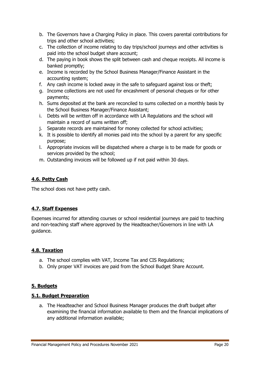- b. The Governors have a Charging Policy in place. This covers parental contributions for trips and other school activities;
- c. The collection of income relating to day trips/school journeys and other activities is paid into the school budget share account;
- d. The paying in book shows the split between cash and cheque receipts. All income is banked promptly;
- e. Income is recorded by the School Business Manager/Finance Assistant in the accounting system;
- f. Any cash income is locked away in the safe to safeguard against loss or theft;
- g. Income collections are not used for encashment of personal cheques or for other payments;
- h. Sums deposited at the bank are reconciled to sums collected on a monthly basis by the School Business Manager/Finance Assistant;
- i. Debts will be written off in accordance with LA Regulations and the school will maintain a record of sums written off;
- j. Separate records are maintained for money collected for school activities;
- k. It is possible to identify all monies paid into the school by a parent for any specific purpose;
- l. Appropriate invoices will be dispatched where a charge is to be made for goods or services provided by the school;
- m. Outstanding invoices will be followed up if not paid within 30 days.

## **4.6. Petty Cash**

The school does not have petty cash.

## **4.7. Staff Expenses**

Expenses incurred for attending courses or school residential journeys are paid to teaching and non-teaching staff where approved by the Headteacher/Governors in line with LA guidance.

## **4.8. Taxation**

- a. The school complies with VAT, Income Tax and CIS Regulations;
- b. Only proper VAT invoices are paid from the School Budget Share Account.

## **5. Budgets**

## **5.1. Budget Preparation**

a. The Headteacher and School Business Manager produces the draft budget after examining the financial information available to them and the financial implications of any additional information available;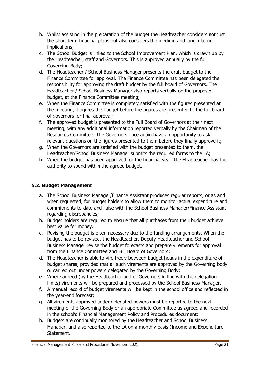- b. Whilst assisting in the preparation of the budget the Headteacher considers not just the short term financial plans but also considers the medium and longer term implications;
- c. The School Budget is linked to the School Improvement Plan, which is drawn up by the Headteacher, staff and Governors. This is approved annually by the full Governing Body;
- d. The Headteacher / School Business Manager presents the draft budget to the Finance Committee for approval. The Finance Committee has been delegated the responsibility for approving the draft budget by the full board of Governors. The Headteacher / School Business Manager also reports verbally on the proposed budget, at the Finance Committee meeting;
- e. When the Finance Committee is completely satisfied with the figures presented at the meeting, it agrees the budget before the figures are presented to the full board of governors for final approval;
- f. The approved budget is presented to the Full Board of Governors at their next meeting, with any additional information reported verbally by the Chairman of the Resources Committee. The Governors once again have an opportunity to ask relevant questions on the figures presented to them before they finally approve it;
- g. When the Governors are satisfied with the budget presented to them, the Headteacher/School Business Manager submits the required forms to the LA;
- h. When the budget has been approved for the financial year, the Headteacher has the authority to spend within the agreed budget.

## **5.2. Budget Management**

- a. The School Business Manager/Finance Assistant produces regular reports, or as and when requested, for budget holders to allow them to monitor actual expenditure and commitments to-date and liaise with the School Business Manager/Finance Assistant regarding discrepancies;
- b. Budget holders are required to ensure that all purchases from their budget achieve best value for money.
- c. Revising the budget is often necessary due to the funding arrangements. When the budget has to be revised, the Headteacher, Deputy Headteacher and School Business Manager revise the budget forecasts and prepare virements for approval from the Finance Committee and Full Board of Governors;
- d. The Headteacher is able to vire freely between budget heads in the expenditure of budget shares, provided that all such virements are approved by the Governing body or carried out under powers delegated by the Governing Body;
- e. Where agreed (by the Headteacher and or Governors in line with the delegation limits) virements will be prepared and processed by the School Business Manager.
- f. A manual record of budget virements will be kept in the school office and reflected in the year-end forecast;
- g. All virements approved under delegated powers must be reported to the next meeting of the Governing Body or an appropriate Committee as agreed and recorded in the school's Financial Management Policy and Procedures document;
- h. Budgets are continually monitored by the Headteacher and School Business Manager, and also reported to the LA on a monthly basis (Income and Expenditure Statement.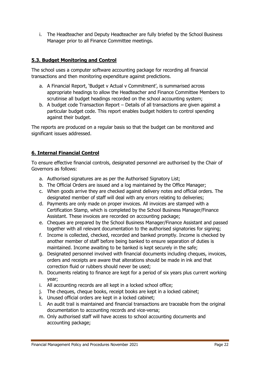i. The Headteacher and Deputy Headteacher are fully briefed by the School Business Manager prior to all Finance Committee meetings.

## **5.3. Budget Monitoring and Control**

The school uses a computer software accounting package for recording all financial transactions and then monitoring expenditure against predictions.

- a. A Financial Report, 'Budget v Actual v Commitment', is summarised across appropriate headings to allow the Headteacher and Finance Committee Members to scrutinise all budget headings recorded on the school accounting system;
- b. A budget code Transaction Report Details of all transactions are given against a particular budget code. This report enables budget holders to control spending against their budget.

The reports are produced on a regular basis so that the budget can be monitored and significant issues addressed.

## **6. Internal Financial Control**

To ensure effective financial controls, designated personnel are authorised by the Chair of Governors as follows:

- a. Authorised signatures are as per the Authorised Signatory List;
- b. The Official Orders are issued and a log maintained by the Office Manager;
- c. When goods arrive they are checked against delivery notes and official orders. The designated member of staff will deal with any errors relating to deliveries;
- d. Payments are only made on proper invoices. All invoices are stamped with a Certification Stamp, which is completed by the School Business Manager/Finance Assistant. These invoices are recorded on accounting package;
- e. Cheques are prepared by the School Business Manager/Finance Assistant and passed together with all relevant documentation to the authorised signatories for signing;
- f. Income is collected, checked, recorded and banked promptly. Income is checked by another member of staff before being banked to ensure separation of duties is maintained. Income awaiting to be banked is kept securely in the safe;
- g. Designated personnel involved with financial documents including cheques, invoices, orders and receipts are aware that alterations should be made in ink and that correction fluid or rubbers should never be used;
- h. Documents relating to finance are kept for a period of six years plus current working year;
- i. All accounting records are all kept in a locked school office;
- j. The cheques, cheque books, receipt books are kept in a locked cabinet;
- k. Unused official orders are kept in a locked cabinet;
- l. An audit trail is maintained and financial transactions are traceable from the original documentation to accounting records and vice-versa;
- m. Only authorised staff will have access to school accounting documents and accounting package;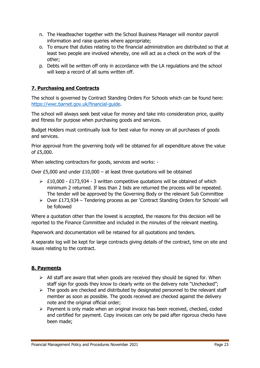- n. The Headteacher together with the School Business Manager will monitor payroll information and raise queries where appropriate;
- o. To ensure that duties relating to the financial administration are distributed so that at least two people are involved whereby, one will act as a check on the work of the other;
- p. Debts will be written off only in accordance with the LA regulations and the school will keep a record of all sums written off.

## **7. Purchasing and Contracts**

The school is governed by Contract Standing Orders For Schools which can be found here: [https://wwc.barnet.gov.uk/financial-guide.](https://wwc.barnet.gov.uk/financial-guide)

The school will always seek best value for money and take into consideration price, quality and fitness for purpose when purchasing goods and services.

Budget Holders must continually look for best value for money on all purchases of goods and services.

Prior approval from the governing body will be obtained for all expenditure above the value of £5,000.

When selecting contractors for goods, services and works: -

Over £5,000 and under £10,000 – at least three quotations will be obtained

- $\geq$  £10,000 £173,934 3 written competitive quotations will be obtained of which minimum 2 returned. If less than 2 bids are returned the process will be repeated. The tender will be approved by the Governing Body or the relevant Sub Committee
- $\triangleright$  Over £173,934 Tendering process as per 'Contract Standing Orders for Schools' will be followed

Where a quotation other than the lowest is accepted, the reasons for this decision will be reported to the Finance Committee and included in the minutes of the relevant meeting.

Paperwork and documentation will be retained for all quotations and tenders.

A separate log will be kept for large contracts giving details of the contract, time on site and issues relating to the contract.

## **8. Payments**

- $\triangleright$  All staff are aware that when goods are received they should be signed for. When staff sign for goods they know to clearly write on the delivery note "Unchecked";
- $\triangleright$  The goods are checked and distributed by designated personnel to the relevant staff member as soon as possible. The goods received are checked against the delivery note and the original official order;
- $\triangleright$  Payment is only made when an original invoice has been received, checked, coded and certified for payment. Copy invoices can only be paid after rigorous checks have been made;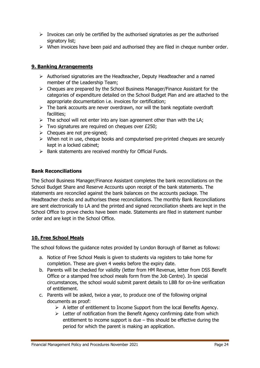- $\triangleright$  Invoices can only be certified by the authorised signatories as per the authorised signatory list;
- $\triangleright$  When invoices have been paid and authorised they are filed in cheque number order.

## **9. Banking Arrangements**

- $\triangleright$  Authorised signatories are the Headteacher, Deputy Headteacher and a named member of the Leadership Team;
- $\triangleright$  Cheques are prepared by the School Business Manager/Finance Assistant for the categories of expenditure detailed on the School Budget Plan and are attached to the appropriate documentation i.e. invoices for certification;
- $\triangleright$  The bank accounts are never overdrawn, nor will the bank negotiate overdraft facilities;
- $\triangleright$  The school will not enter into any loan agreement other than with the LA;
- $\triangleright$  Two signatures are required on cheques over £250;
- $\triangleright$  Cheques are not pre-signed;
- $\triangleright$  When not in use, cheque books and computerised pre-printed cheques are securely kept in a locked cabinet;
- $\triangleright$  Bank statements are received monthly for Official Funds.

## **Bank Reconciliations**

The School Business Manager/Finance Assistant completes the bank reconciliations on the School Budget Share and Reserve Accounts upon receipt of the bank statements. The statements are reconciled against the bank balances on the accounts package. The Headteacher checks and authorises these reconciliations. The monthly Bank Reconciliations are sent electronically to LA and the printed and signed reconciliation sheets are kept in the School Office to prove checks have been made. Statements are filed in statement number order and are kept in the School Office.

## **10. Free School Meals**

The school follows the guidance notes provided by London Borough of Barnet as follows:

- a. Notice of Free School Meals is given to students via registers to take home for completion. These are given 4 weeks before the expiry date.
- b. Parents will be checked for validity (letter from HM Revenue, letter from DSS Benefit Office or a stamped free school meals form from the Job Centre). In special circumstances, the school would submit parent details to LBB for on-line verification of entitlement.
- c. Parents will be asked, twice a year, to produce one of the following original documents as proof:
	- $\triangleright$  A letter of entitlement to Income Support from the local Benefits Agency.
	- $\triangleright$  Letter of notification from the Benefit Agency confirming date from which entitlement to income support is due – this should be effective during the period for which the parent is making an application.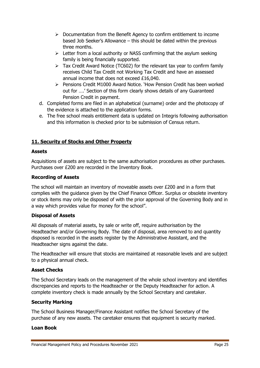- $\triangleright$  Documentation from the Benefit Agency to confirm entitlement to income based Job Seeker's Allowance – this should be dated within the previous three months.
- $\triangleright$  Letter from a local authority or NASS confirming that the asylum seeking family is being financially supported.
- $\triangleright$  Tax Credit Award Notice (TC602) for the relevant tax year to confirm family receives Child Tax Credit not Working Tax Credit and have an assessed annual income that does not exceed £16,040.
- $\triangleright$  Pensions Credit M1000 Award Notice. 'How Pension Credit has been worked out for ….' Section of this form clearly shows details of any Guaranteed Pension Credit in payment.
- d. Completed forms are filed in an alphabetical (surname) order and the photocopy of the evidence is attached to the application forms.
- e. The free school meals entitlement data is updated on Integris following authorisation and this information is checked prior to be submission of Census return.

## **11. Security of Stocks and Other Property**

## **Assets**

Acquisitions of assets are subject to the same authorisation procedures as other purchases. Purchases over £200 are recorded in the Inventory Book.

## **Recording of Assets**

The school will maintain an inventory of moveable assets over £200 and in a form that complies with the guidance given by the Chief Finance Officer. Surplus or obsolete inventory or stock items may only be disposed of with the prior approval of the Governing Body and in a way which provides value for money for the school".

## **Disposal of Assets**

All disposals of material assets, by sale or write off, require authorisation by the Headteacher and/or Governing Body. The date of disposal, area removed to and quantity disposed is recorded in the assets register by the Administrative Assistant, and the Headteacher signs against the date.

The Headteacher will ensure that stocks are maintained at reasonable levels and are subject to a physical annual check.

## **Asset Checks**

The School Secretary leads on the management of the whole school inventory and identifies discrepancies and reports to the Headteacher or the Deputy Headteacher for action. A complete inventory check is made annually by the School Secretary and caretaker.

## **Security Marking**

The School Business Manager/Finance Assistant notifies the School Secretary of the purchase of any new assets. The caretaker ensures that equipment is security marked.

## **Loan Book**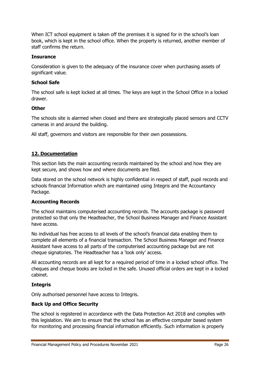When ICT school equipment is taken off the premises it is signed for in the school's loan book, which is kept in the school office. When the property is returned, another member of staff confirms the return.

## **Insurance**

Consideration is given to the adequacy of the insurance cover when purchasing assets of significant value.

#### **School Safe**

The school safe is kept locked at all times. The keys are kept in the School Office in a locked drawer.

#### **Other**

The schools site is alarmed when closed and there are strategically placed sensors and CCTV cameras in and around the building.

All staff, governors and visitors are responsible for their own possessions.

## **12. Documentation**

This section lists the main accounting records maintained by the school and how they are kept secure, and shows how and where documents are filed.

Data stored on the school network is highly confidential in respect of staff, pupil records and schools financial Information which are maintained using Integris and the Accountancy Package.

## **Accounting Records**

The school maintains computerised accounting records. The accounts package is password protected so that only the Headteacher, the School Business Manager and Finance Assistant have access.

No individual has free access to all levels of the school's financial data enabling them to complete all elements of a financial transaction. The School Business Manager and Finance Assistant have access to all parts of the computerised accounting package but are not cheque signatories. The Headteacher has a 'look only' access.

All accounting records are all kept for a required period of time in a locked school office. The cheques and cheque books are locked in the safe. Unused official orders are kept in a locked cabinet.

## **Integris**

Only authorised personnel have access to Integris.

## **Back Up and Office Security**

The school is registered in accordance with the Data Protection Act 2018 and complies with this legislation. We aim to ensure that the school has an effective computer based system for monitoring and processing financial information efficiently. Such information is properly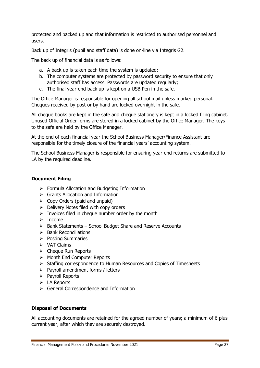protected and backed up and that information is restricted to authorised personnel and users.

Back up of Integris (pupil and staff data) is done on-line via Integris G2.

The back up of financial data is as follows:

- a. A back up is taken each time the system is updated;
- b. The computer systems are protected by password security to ensure that only authorised staff has access. Passwords are updated regularly;
- c. The final year-end back up is kept on a USB Pen in the safe.

The Office Manager is responsible for opening all school mail unless marked personal. Cheques received by post or by hand are locked overnight in the safe.

All cheque books are kept in the safe and cheque stationery is kept in a locked filing cabinet. Unused Official Order forms are stored in a locked cabinet by the Office Manager. The keys to the safe are held by the Office Manager.

At the end of each financial year the School Business Manager/Finance Assistant are responsible for the timely closure of the financial years' accounting system.

The School Business Manager is responsible for ensuring year-end returns are submitted to LA by the required deadline.

#### **Document Filing**

- $\triangleright$  Formula Allocation and Budgeting Information
- $\triangleright$  Grants Allocation and Information
- $\triangleright$  Copy Orders (paid and unpaid)
- $\triangleright$  Delivery Notes filed with copy orders
- $\triangleright$  Invoices filed in cheque number order by the month
- $\triangleright$  Income
- $\triangleright$  Bank Statements School Budget Share and Reserve Accounts
- $\triangleright$  Bank Reconciliations
- $\triangleright$  Posting Summaries
- $\triangleright$  VAT Claims
- $\triangleright$  Cheque Run Reports
- > Month End Computer Reports
- $\triangleright$  Staffing correspondence to Human Resources and Copies of Timesheets
- $\triangleright$  Payroll amendment forms / letters
- $\triangleright$  Payroll Reports
- $\triangleright$  LA Reports
- General Correspondence and Information

#### **Disposal of Documents**

All accounting documents are retained for the agreed number of years; a minimum of 6 plus current year, after which they are securely destroyed.